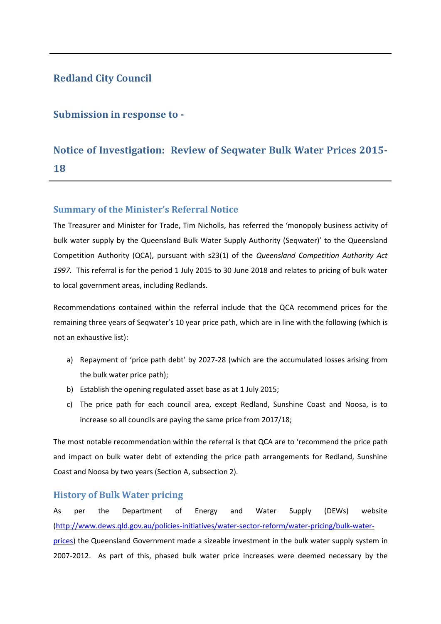# **Redland City Council**

# **Submission in response to -**

# **Notice of Investigation: Review of Seqwater Bulk Water Prices 2015- 18**

## **Summary of the Minister's Referral Notice**

The Treasurer and Minister for Trade, Tim Nicholls, has referred the 'monopoly business activity of bulk water supply by the Queensland Bulk Water Supply Authority (Seqwater)' to the Queensland Competition Authority (QCA), pursuant with s23(1) of the *Queensland Competition Authority Act 1997.* This referral is for the period 1 July 2015 to 30 June 2018 and relates to pricing of bulk water to local government areas, including Redlands.

Recommendations contained within the referral include that the QCA recommend prices for the remaining three years of Seqwater's 10 year price path, which are in line with the following (which is not an exhaustive list):

- a) Repayment of 'price path debt' by 2027-28 (which are the accumulated losses arising from the bulk water price path);
- b) Establish the opening regulated asset base as at 1 July 2015;
- c) The price path for each council area, except Redland, Sunshine Coast and Noosa, is to increase so all councils are paying the same price from 2017/18;

The most notable recommendation within the referral is that QCA are to 'recommend the price path and impact on bulk water debt of extending the price path arrangements for Redland, Sunshine Coast and Noosa by two years (Section A, subsection 2).

#### **History of Bulk Water pricing**

As per the Department of Energy and Water Supply (DEWs) website [\(http://www.dews.qld.gov.au/policies-initiatives/water-sector-reform/water-pricing/bulk-water](http://www.dews.qld.gov.au/policies-initiatives/water-sector-reform/water-pricing/bulk-water-prices)[prices\)](http://www.dews.qld.gov.au/policies-initiatives/water-sector-reform/water-pricing/bulk-water-prices) the Queensland Government made a sizeable investment in the bulk water supply system in 2007-2012. As part of this, phased bulk water price increases were deemed necessary by the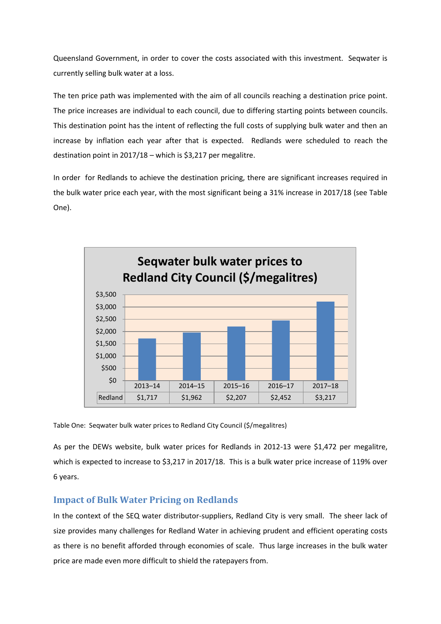Queensland Government, in order to cover the costs associated with this investment. Seqwater is currently selling bulk water at a loss.

The ten price path was implemented with the aim of all councils reaching a destination price point. The price increases are individual to each council, due to differing starting points between councils. This destination point has the intent of reflecting the full costs of supplying bulk water and then an increase by inflation each year after that is expected. Redlands were scheduled to reach the destination point in 2017/18 – which is \$3,217 per megalitre.

In order for Redlands to achieve the destination pricing, there are significant increases required in the bulk water price each year, with the most significant being a 31% increase in 2017/18 (see Table One).



Table One: Seqwater bulk water prices to Redland City Council (\$/megalitres)

As per the DEWs website, bulk water prices for Redlands in 2012-13 were \$1,472 per megalitre, which is expected to increase to \$3,217 in 2017/18. This is a bulk water price increase of 119% over 6 years.

## **Impact of Bulk Water Pricing on Redlands**

In the context of the SEQ water distributor-suppliers, Redland City is very small. The sheer lack of size provides many challenges for Redland Water in achieving prudent and efficient operating costs as there is no benefit afforded through economies of scale. Thus large increases in the bulk water price are made even more difficult to shield the ratepayers from.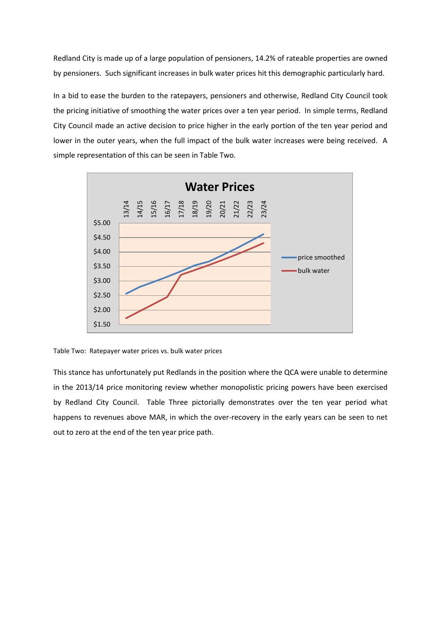Redland City is made up of a large population of pensioners, 14.2% of rateable properties are owned by pensioners. Such significant increases in bulk water prices hit this demographic particularly hard.

In a bid to ease the burden to the ratepayers, pensioners and otherwise, Redland City Council took the pricing initiative of smoothing the water prices over a ten year period. In simple terms, Redland City Council made an active decision to price higher in the early portion of the ten year period and lower in the outer years, when the full impact of the bulk water increases were being received. A simple representation of this can be seen in Table Two.



Table Two: Ratepayer water prices vs. bulk water prices

This stance has unfortunately put Redlands in the position where the QCA were unable to determine in the 2013/14 price monitoring review whether monopolistic pricing powers have been exercised by Redland City Council. Table Three pictorially demonstrates over the ten year period what happens to revenues above MAR, in which the over-recovery in the early years can be seen to net out to zero at the end of the ten year price path.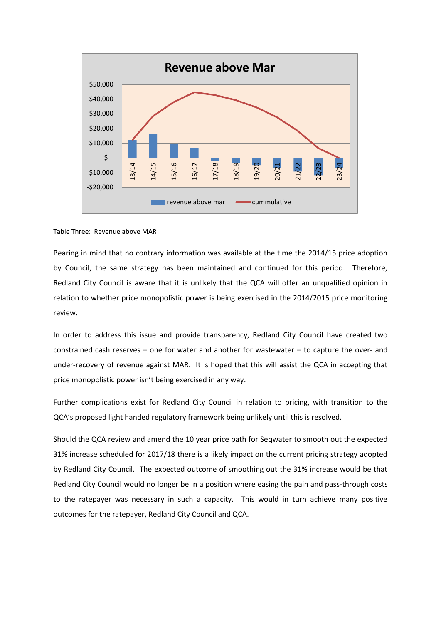

#### Table Three: Revenue above MAR

Bearing in mind that no contrary information was available at the time the 2014/15 price adoption by Council, the same strategy has been maintained and continued for this period. Therefore, Redland City Council is aware that it is unlikely that the QCA will offer an unqualified opinion in relation to whether price monopolistic power is being exercised in the 2014/2015 price monitoring review.

In order to address this issue and provide transparency, Redland City Council have created two constrained cash reserves – one for water and another for wastewater – to capture the over- and under-recovery of revenue against MAR. It is hoped that this will assist the QCA in accepting that price monopolistic power isn't being exercised in any way.

Further complications exist for Redland City Council in relation to pricing, with transition to the QCA's proposed light handed regulatory framework being unlikely until this is resolved.

Should the QCA review and amend the 10 year price path for Seqwater to smooth out the expected 31% increase scheduled for 2017/18 there is a likely impact on the current pricing strategy adopted by Redland City Council. The expected outcome of smoothing out the 31% increase would be that Redland City Council would no longer be in a position where easing the pain and pass-through costs to the ratepayer was necessary in such a capacity. This would in turn achieve many positive outcomes for the ratepayer, Redland City Council and QCA.